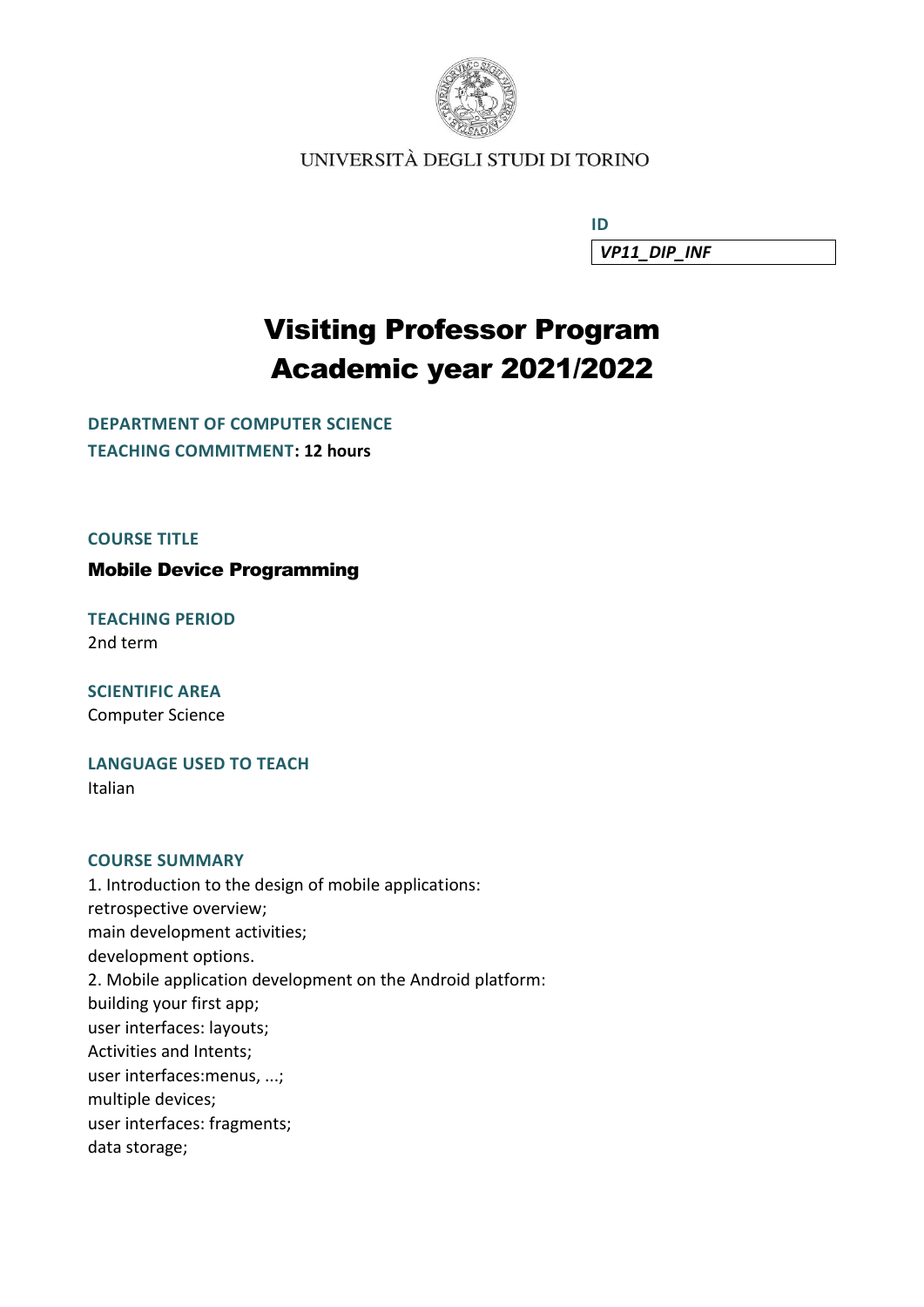

UNIVERSITÀ DEGLI STUDI DI TORINO

**ID ID ID** *VP11\_DIP\_INF*

# Visiting Professor Program Academic year 2021/2022

**DEPARTMENT OF COMPUTER SCIENCE TEACHING COMMITMENT: 12 hours**

**COURSE TITLE**

Mobile Device Programming

**TEACHING PERIOD** 2nd term

**SCIENTIFIC AREA** Computer Science

**LANGUAGE USED TO TEACH** Italian

#### **COURSE SUMMARY**

1. Introduction to the design of mobile applications: retrospective overview; main development activities; development options. 2. Mobile application development on the Android platform: building your first app; user interfaces: layouts; Activities and Intents; user interfaces:menus, ...; multiple devices; user interfaces: fragments; data storage;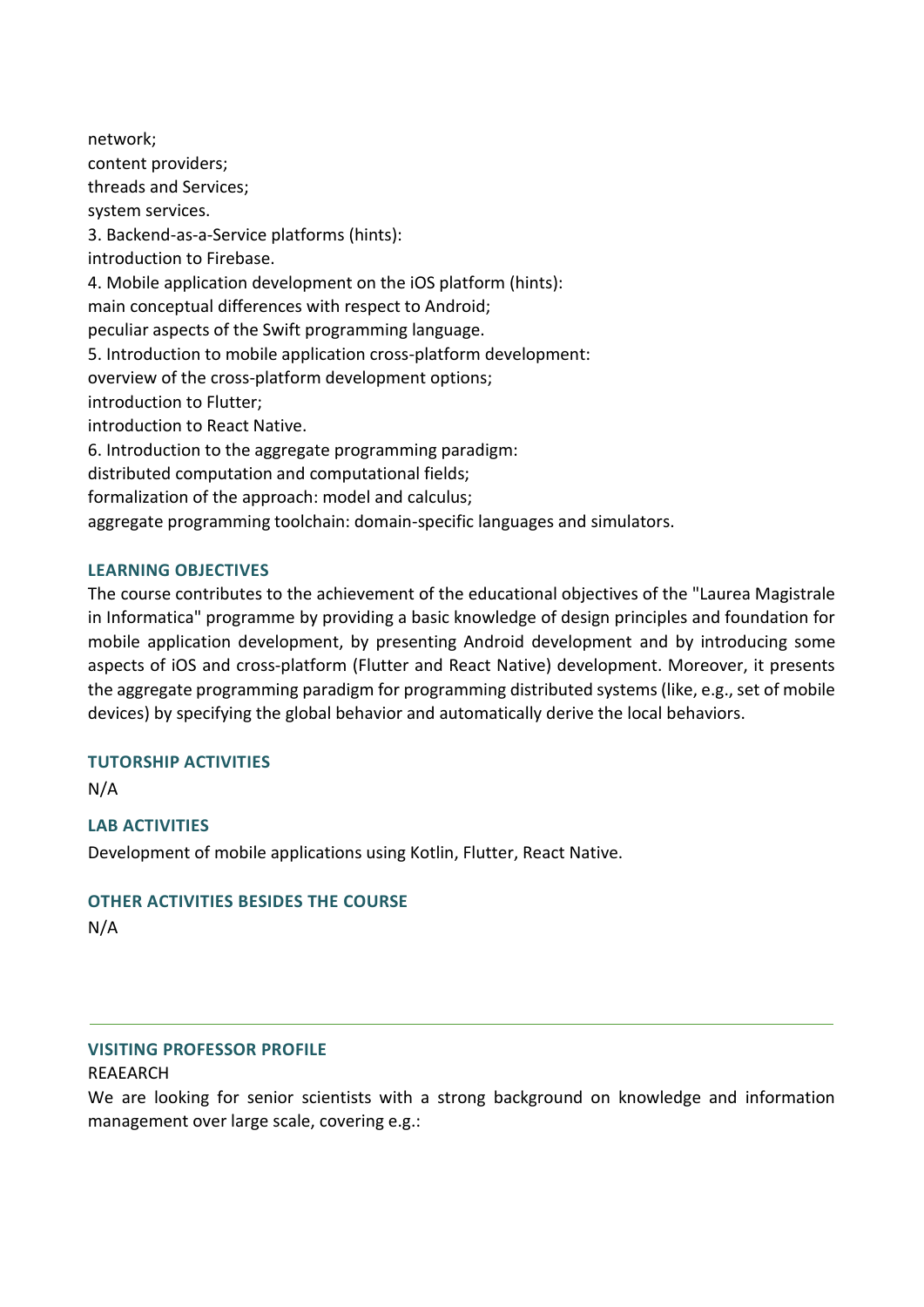network; content providers; threads and Services; system services. 3. Backend-as-a-Service platforms (hints): introduction to Firebase. 4. Mobile application development on the iOS platform (hints): main conceptual differences with respect to Android; peculiar aspects of the Swift programming language. 5. Introduction to mobile application cross-platform development: overview of the cross-platform development options; introduction to Flutter; introduction to React Native. 6. Introduction to the aggregate programming paradigm: distributed computation and computational fields; formalization of the approach: model and calculus; aggregate programming toolchain: domain-specific languages and simulators.

## **LEARNING OBJECTIVES**

The course contributes to the achievement of the educational objectives of the "Laurea Magistrale in Informatica" programme by providing a basic knowledge of design principles and foundation for mobile application development, by presenting Android development and by introducing some aspects of iOS and cross-platform (Flutter and React Native) development. Moreover, it presents the aggregate programming paradigm for programming distributed systems (like, e.g., set of mobile devices) by specifying the global behavior and automatically derive the local behaviors.

## **TUTORSHIP ACTIVITIES**

N/A

# **LAB ACTIVITIES**

Development of mobile applications using Kotlin, Flutter, React Native.

## **OTHER ACTIVITIES BESIDES THE COURSE**

N/A

## **VISITING PROFESSOR PROFILE**

#### REAEARCH

We are looking for senior scientists with a strong background on knowledge and information management over large scale, covering e.g.: